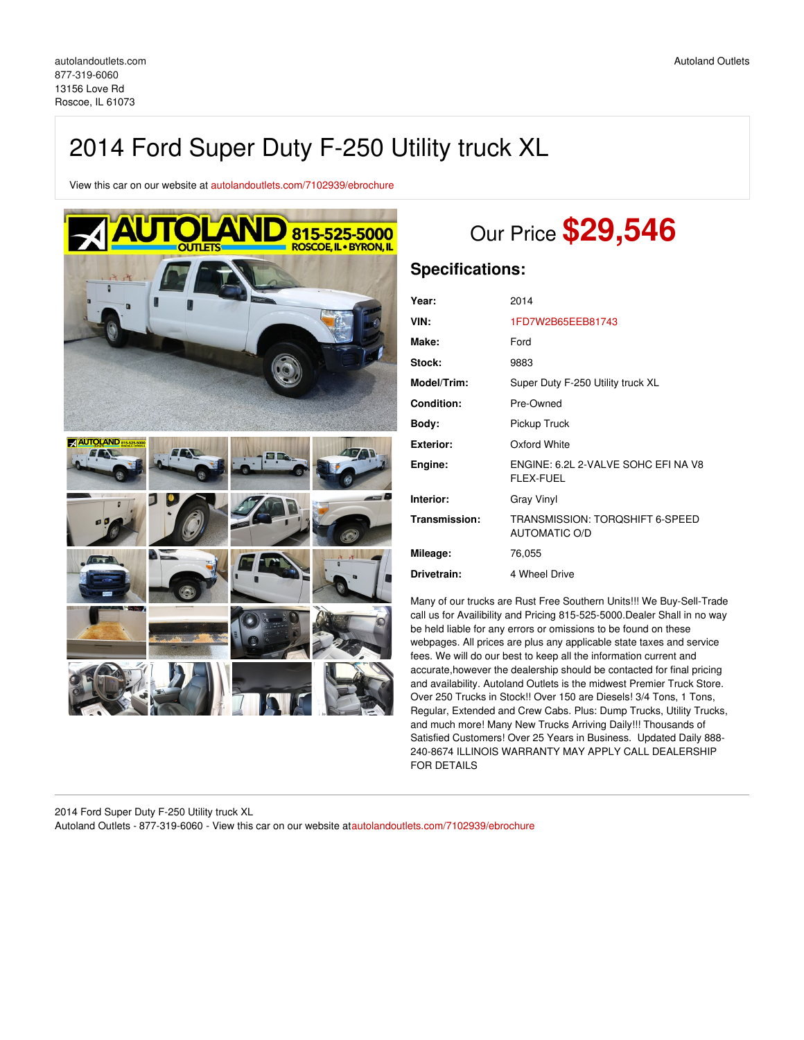# 2014 Ford Super Duty F-250 Utility truck XL

View this car on our website at [autolandoutlets.com/7102939/ebrochure](https://autolandoutlets.com/vehicle/7102939/2014-ford-super-duty-f-250-utility-truck-xl-roscoe-il-61073/7102939/ebrochure)



# Our Price **\$29,546**

## **Specifications:**

| Year:             | 2014                                                    |
|-------------------|---------------------------------------------------------|
| VIN:              | 1FD7W2B65EEB81743                                       |
| Make:             | Ford                                                    |
| Stock:            | 9883                                                    |
| Model/Trim:       | Super Duty F-250 Utility truck XL                       |
| <b>Condition:</b> | Pre-Owned                                               |
| Body:             | Pickup Truck                                            |
| <b>Exterior:</b>  | Oxford White                                            |
| Engine:           | ENGINE: 6.2L 2-VALVE SOHC EFI NA V8<br><b>FLEX-FUEL</b> |
| Interior:         | <b>Gray Vinyl</b>                                       |
| Transmission:     | TRANSMISSION: TORQSHIFT 6-SPEED<br><b>AUTOMATIC O/D</b> |
| Mileage:          | 76,055                                                  |
| Drivetrain:       | 4 Wheel Drive                                           |

Many of our trucks are Rust Free Southern Units!!! We Buy-Sell-Trade call us for Availibility and Pricing 815-525-5000.Dealer Shall in no way be held liable for any errors or omissions to be found on these webpages. All prices are plus any applicable state taxes and service fees. We will do our best to keep all the information current and accurate,however the dealership should be contacted for final pricing and availability. Autoland Outlets is the midwest Premier Truck Store. Over 250 Trucks in Stock!! Over 150 are Diesels! 3/4 Tons, 1 Tons, Regular, Extended and Crew Cabs. Plus: Dump Trucks, Utility Trucks, and much more! Many New Trucks Arriving Daily!!! Thousands of Satisfied Customers! Over 25 Years in Business. Updated Daily 888- 240-8674 ILLINOIS WARRANTY MAY APPLY CALL DEALERSHIP FOR DETAILS

2014 Ford Super Duty F-250 Utility truck XL Autoland Outlets - 877-319-6060 - View this car on our website at[autolandoutlets.com/7102939/ebrochure](https://autolandoutlets.com/vehicle/7102939/2014-ford-super-duty-f-250-utility-truck-xl-roscoe-il-61073/7102939/ebrochure)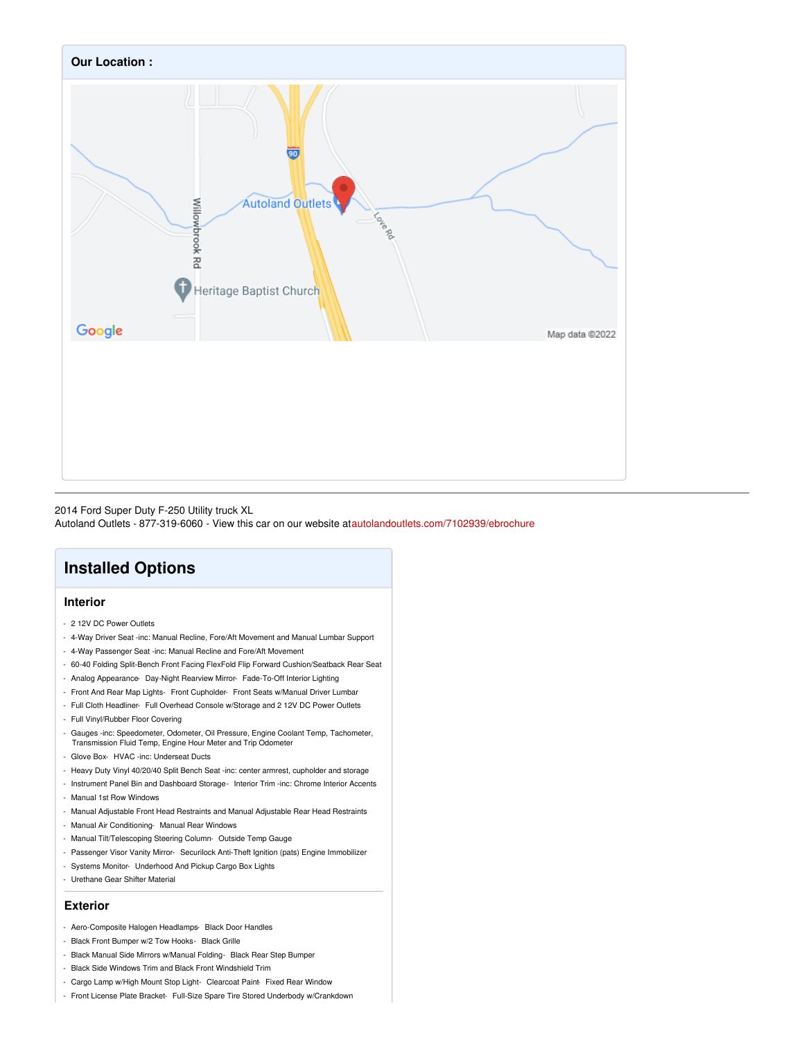

#### 2014 Ford Super Duty F-250 Utility truck XL

Autoland Outlets - 877-319-6060 - View this car on our website at[autolandoutlets.com/7102939/ebrochure](https://autolandoutlets.com/vehicle/7102939/2014-ford-super-duty-f-250-utility-truck-xl-roscoe-il-61073/7102939/ebrochure)

## **Installed Options**

#### **Interior**

- 2 12V DC Power Outlets
- 4-Way Driver Seat -inc: Manual Recline, Fore/Aft Movement and Manual Lumbar Support
- 4-Way Passenger Seat -inc: Manual Recline and Fore/Aft Movement
- 60-40 Folding Split-Bench Front Facing FlexFold Flip Forward Cushion/Seatback Rear Seat
- Analog Appearance- Day-Night Rearview Mirror- Fade-To-Off Interior Lighting
- Front And Rear Map Lights- Front Cupholder- Front Seats w/Manual Driver Lumbar
- Full Cloth Headliner- Full Overhead Console w/Storage and 2 12V DC Power Outlets
- Full Vinyl/Rubber Floor Covering
- Gauges -inc: Speedometer, Odometer, Oil Pressure, Engine Coolant Temp, Tachometer, Transmission Fluid Temp, Engine Hour Meter and Trip Odometer
- Glove Box- HVAC -inc: Underseat Ducts
- Heavy Duty Vinyl 40/20/40 Split Bench Seat -inc: center armrest, cupholder and storage
- Instrument Panel Bin and Dashboard Storage Interior Trim -inc: Chrome Interior Accents
- Manual 1st Row Windows
- Manual Adjustable Front Head Restraints and Manual Adjustable Rear Head Restraints
- Manual Air Conditioning- Manual Rear Windows
- Manual Tilt/Telescoping Steering Column- Outside Temp Gauge
- Passenger Visor Vanity Mirror- Securilock Anti-Theft Ignition (pats) Engine Immobilizer
- Systems Monitor- Underhood And Pickup Cargo Box Lights
- Urethane Gear Shifter Material

#### **Exterior**

- Aero-Composite Halogen Headlamps- Black Door Handles
- Black Front Bumper w/2 Tow Hooks- Black Grille
- Black Manual Side Mirrors w/Manual Folding- Black Rear Step Bumper
- Black Side Windows Trim and Black Front Windshield Trim
- Cargo Lamp w/High Mount Stop Light- Clearcoat Paint- Fixed Rear Window
- Front License Plate Bracket- Full-Size Spare Tire Stored Underbody w/Crankdown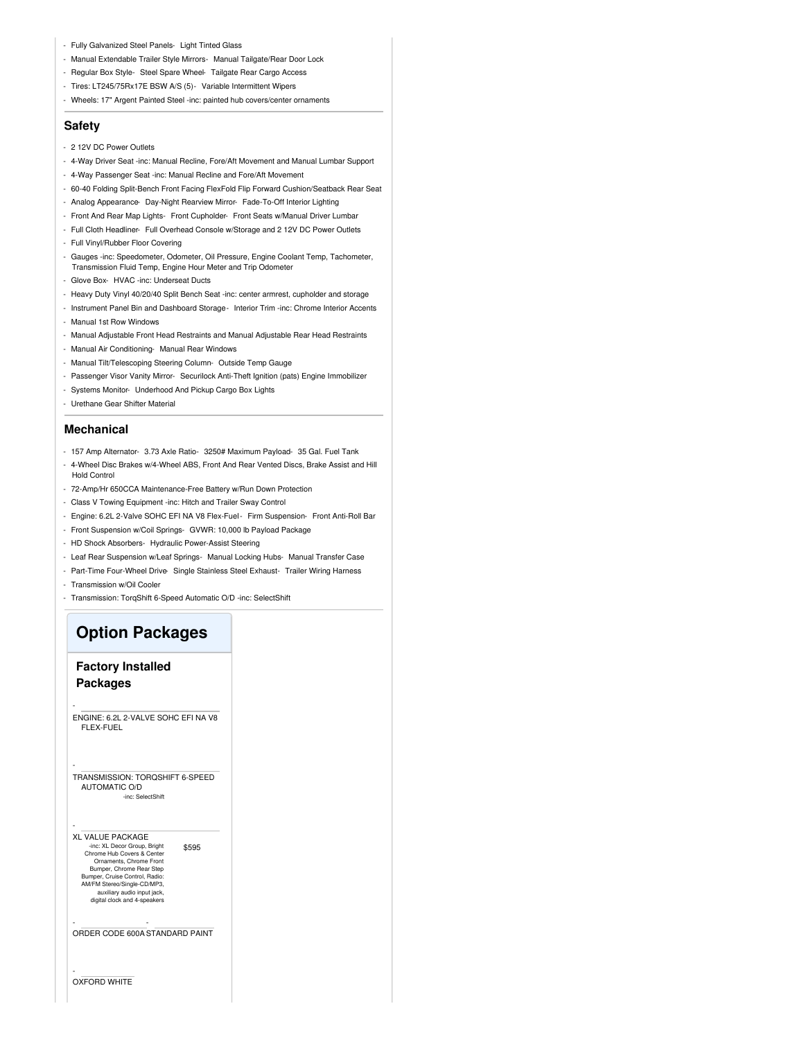- Fully Galvanized Steel Panels- Light Tinted Glass
- Manual Extendable Trailer Style Mirrors- Manual Tailgate/Rear Door Lock
- Regular Box Style- Steel Spare Wheel- Tailgate Rear Cargo Access
- Tires: LT245/75Rx17E BSW A/S (5)- Variable Intermittent Wipers
- Wheels: 17" Argent Painted Steel -inc: painted hub covers/center ornaments

#### **Safety**

- 2 12V DC Power Outlets
- 4-Way Driver Seat -inc: Manual Recline, Fore/Aft Movement and Manual Lumbar Support
- 4-Way Passenger Seat -inc: Manual Recline and Fore/Aft Movement
- 60-40 Folding Split-Bench Front Facing FlexFold Flip Forward Cushion/Seatback Rear Seat
- Analog Appearance- Day-Night Rearview Mirror- Fade-To-Off Interior Lighting
- Front And Rear Map Lights- Front Cupholder- Front Seats w/Manual Driver Lumbar
- Full Cloth Headliner- Full Overhead Console w/Storage and 2 12V DC Power Outlets
- Full Vinyl/Rubber Floor Covering
- Gauges -inc: Speedometer, Odometer, Oil Pressure, Engine Coolant Temp, Tachometer, Transmission Fluid Temp, Engine Hour Meter and Trip Odometer
- Glove Box- HVAC -inc: Underseat Ducts
- Heavy Duty Vinyl 40/20/40 Split Bench Seat -inc: center armrest, cupholder and storage
- Instrument Panel Bin and Dashboard Storage- Interior Trim -inc: Chrome Interior Accents
- Manual 1st Row Windows
- Manual Adjustable Front Head Restraints and Manual Adjustable Rear Head Restraints
- Manual Air Conditioning- Manual Rear Windows
- Manual Tilt/Telescoping Steering Column- Outside Temp Gauge
- Passenger Visor Vanity Mirror- Securilock Anti-Theft Ignition (pats) Engine Immobilizer
- Systems Monitor- Underhood And Pickup Cargo Box Lights
- Urethane Gear Shifter Material

#### **Mechanical**

- 157 Amp Alternator- 3.73 Axle Ratio- 3250# Maximum Payload- 35 Gal. Fuel Tank
- 4-Wheel Disc Brakes w/4-Wheel ABS, Front And Rear Vented Discs, Brake Assist and Hill Hold Control
- 72-Amp/Hr 650CCA Maintenance-Free Battery w/Run Down Protection
- Class V Towing Equipment -inc: Hitch and Trailer Sway Control
- Engine: 6.2L 2-Valve SOHC EFI NA V8 Flex-Fuel- Firm Suspension- Front Anti-Roll Bar
- Front Suspension w/Coil Springs- GVWR: 10,000 lb Payload Package
- HD Shock Absorbers- Hydraulic Power-Assist Steering
- Leaf Rear Suspension w/Leaf Springs- Manual Locking Hubs- Manual Transfer Case
- Part-Time Four-Wheel Drive- Single Stainless Steel Exhaust- Trailer Wiring Harness
- Transmission w/Oil Cooler
- Transmission: TorqShift 6-Speed Automatic O/D -inc: SelectShift

### **Option Packages**

### **Factory Installed Packages**

-

-

-

-

ENGINE: 6.2L 2-VALVE SOHC EFI NA V8 FLEX-FUEL

TRANSMISSION: TORQSHIFT 6-SPEED AUTOMATIC O/D -inc: SelectShift

\$595 XL VALUE PACKAGE -inc: XL Decor Group, Bright Chrome Hub Covers & Center Ornaments, Chrome Front Bumper, Chrome Rear Step Bumper, Cruise Control, Radio: AM/FM Stereo/Single-CD/MP3, auxiliary audio input jack, digital clock and 4-speakers

- ORDER CODE 600A - STANDARD PAINT

OXFORD WHITE